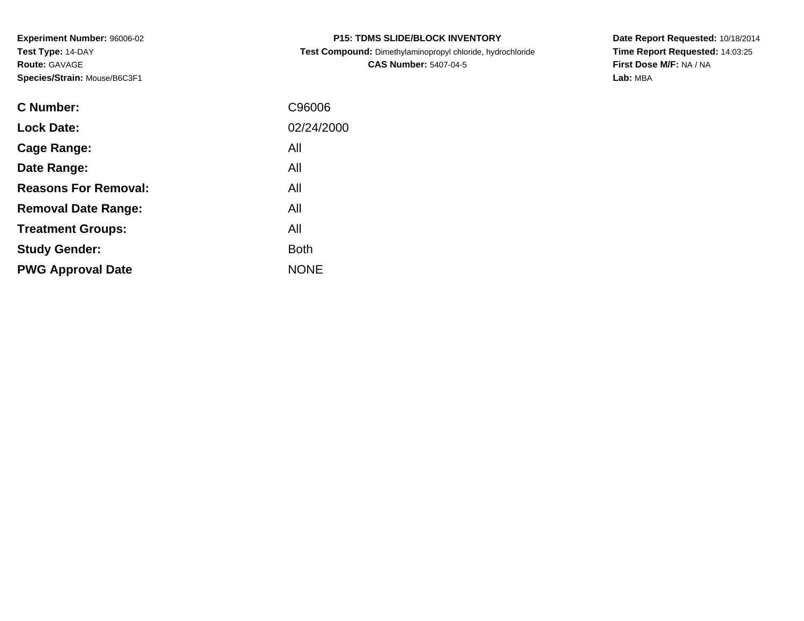**Experiment Number:** 96006-02**Test Type:** 14-DAY**Route:** GAVAGE**Species/Strain:** Mouse/B6C3F1

|  |  | <b>P15: TDMS SLIDE/BLOCK INVENTORY</b> |
|--|--|----------------------------------------|
|--|--|----------------------------------------|

 **Test Compound:** Dimethylaminopropyl chloride, hydrochloride**CAS Number:** 5407-04-5

**Date Report Requested:** 10/18/2014 **Time Report Requested:** 14:03:25**First Dose M/F:** NA / NA**Lab:** MBA

| <b>C</b> Number:            | C96006      |
|-----------------------------|-------------|
| <b>Lock Date:</b>           | 02/24/2000  |
| Cage Range:                 | All         |
| Date Range:                 | All         |
| <b>Reasons For Removal:</b> | All         |
| <b>Removal Date Range:</b>  | All         |
| <b>Treatment Groups:</b>    | All         |
| <b>Study Gender:</b>        | <b>Both</b> |
| <b>PWG Approval Date</b>    | <b>NONE</b> |
|                             |             |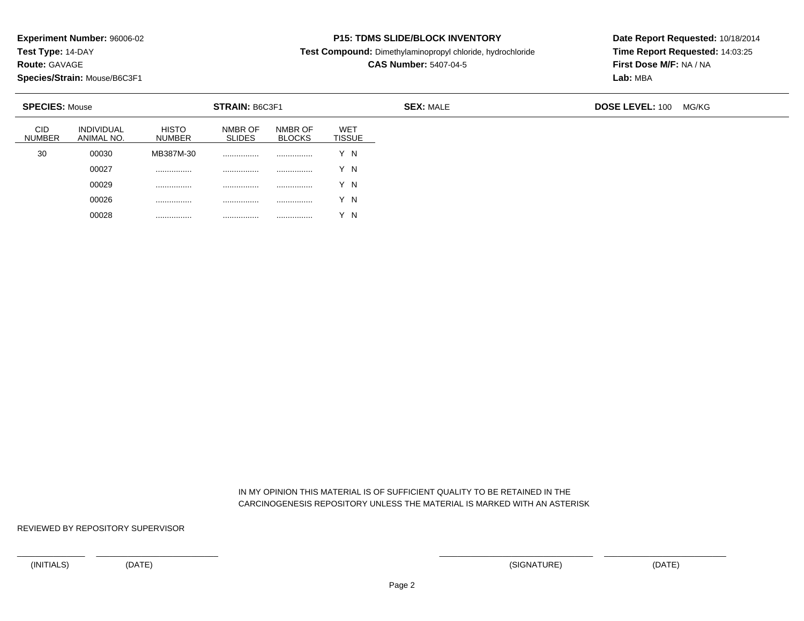**Test Type:** 14-DAY

**Route:** GAVAGE

**Species/Strain:** Mouse/B6C3F1

### **P15: TDMS SLIDE/BLOCK INVENTORY**

**Test Compound:** Dimethylaminopropyl chloride, hydrochloride

# **CAS Number:** 5407-04-5

**Date Report Requested:** 10/18/2014**Time Report Requested:** 14:03:25**First Dose M/F:** NA / NA**Lab:** MBA

|                             | <b>STRAIN: B6C3F1</b><br><b>SPECIES: Mouse</b> |                               |                          |                          |                              | <b>SEX: MALE</b> | <b>DOSE LEVEL: 100</b> | MG/KG |
|-----------------------------|------------------------------------------------|-------------------------------|--------------------------|--------------------------|------------------------------|------------------|------------------------|-------|
| <b>CID</b><br><b>NUMBER</b> | <b>INDIVIDUAL</b><br>ANIMAL NO.                | <b>HISTO</b><br><b>NUMBER</b> | NMBR OF<br><b>SLIDES</b> | NMBR OF<br><b>BLOCKS</b> | <b>WET</b><br><b>TISSUE</b>  |                  |                        |       |
| 30                          | 00030                                          | MB387M-30                     | .                        |                          | Y N                          |                  |                        |       |
|                             | 00027                                          | .                             | .                        |                          | Y N                          |                  |                        |       |
|                             | 00029                                          |                               | .                        |                          | Y N                          |                  |                        |       |
|                             | 00026                                          |                               |                          |                          | Y N                          |                  |                        |       |
|                             | 00028                                          | .                             | .                        |                          | $\sqrt{ }$<br>$\overline{N}$ |                  |                        |       |

 IN MY OPINION THIS MATERIAL IS OF SUFFICIENT QUALITY TO BE RETAINED IN THECARCINOGENESIS REPOSITORY UNLESS THE MATERIAL IS MARKED WITH AN ASTERISK

REVIEWED BY REPOSITORY SUPERVISOR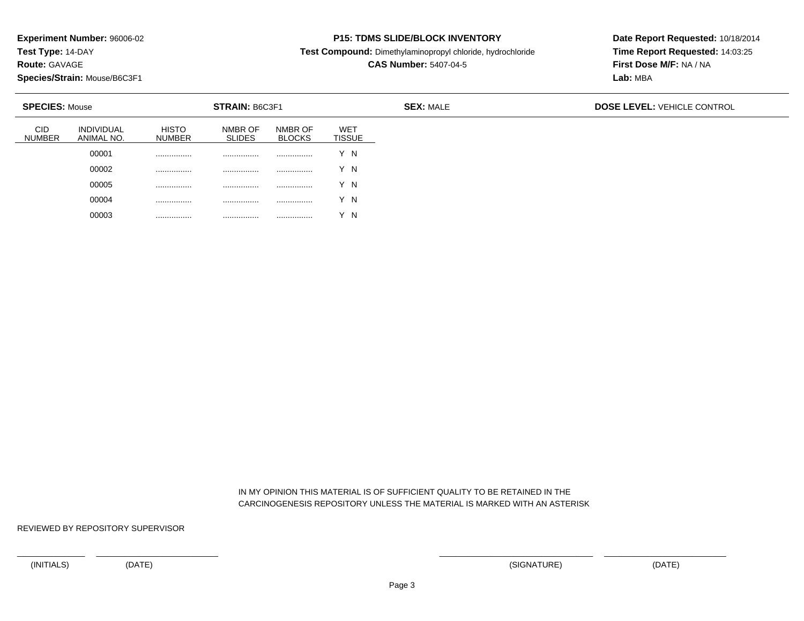**Test Type:** 14-DAY

**Route:** GAVAGE

**Species/Strain:** Mouse/B6C3F1

#### **P15: TDMS SLIDE/BLOCK INVENTORY**

**Test Compound:** Dimethylaminopropyl chloride, hydrochloride

**CAS Number:** 5407-04-5

**Date Report Requested:** 10/18/2014**Time Report Requested:** 14:03:25**First Dose M/F:** NA / NA**Lab:** MBA

| <b>SPECIES: Mouse</b> |                                 |                               | <b>STRAIN: B6C3F1</b>    |                          |                             | <b>SEX: MALE</b> | <b>DOSE LEVEL: VEHICLE CONTROL</b> |
|-----------------------|---------------------------------|-------------------------------|--------------------------|--------------------------|-----------------------------|------------------|------------------------------------|
| CID<br><b>NUMBER</b>  | <b>INDIVIDUAL</b><br>ANIMAL NO. | <b>HISTO</b><br><b>NUMBER</b> | NMBR OF<br><b>SLIDES</b> | NMBR OF<br><b>BLOCKS</b> | <b>WET</b><br><b>TISSUE</b> |                  |                                    |
|                       | 00001                           | .                             |                          |                          | Y N                         |                  |                                    |
|                       | 00002                           |                               |                          |                          | Y N                         |                  |                                    |
|                       | 00005                           |                               |                          |                          | Y N                         |                  |                                    |
|                       | 00004                           |                               | .                        |                          | Y N                         |                  |                                    |
|                       | 00003                           | .                             | .                        | .                        | $\sqrt{}$<br>΄N             |                  |                                    |

 IN MY OPINION THIS MATERIAL IS OF SUFFICIENT QUALITY TO BE RETAINED IN THECARCINOGENESIS REPOSITORY UNLESS THE MATERIAL IS MARKED WITH AN ASTERISK

REVIEWED BY REPOSITORY SUPERVISOR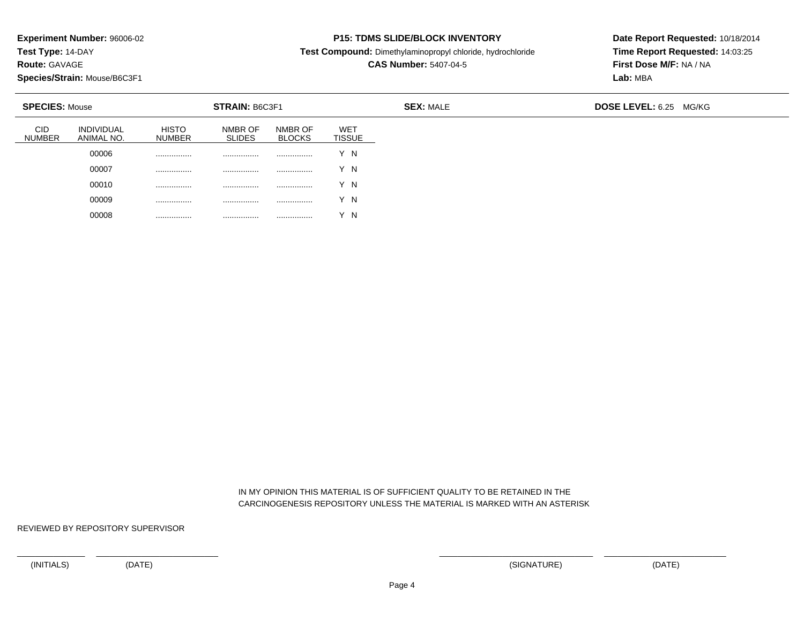**Test Type:** 14-DAY

**Route:** GAVAGE

**Species/Strain:** Mouse/B6C3F1

#### **P15: TDMS SLIDE/BLOCK INVENTORY**

**Test Compound:** Dimethylaminopropyl chloride, hydrochloride

# **CAS Number:** 5407-04-5

**Date Report Requested:** 10/18/2014**Time Report Requested:** 14:03:25**First Dose M/F:** NA / NA**Lab:** MBA

|                             | <b>SPECIES: Mouse</b><br><b>STRAIN: B6C3F1</b> |                               |                          |                          |                             | <b>SEX: MALE</b> | <b>DOSE LEVEL: 6.25 MG/KG</b> |  |
|-----------------------------|------------------------------------------------|-------------------------------|--------------------------|--------------------------|-----------------------------|------------------|-------------------------------|--|
| <b>CID</b><br><b>NUMBER</b> | <b>INDIVIDUAL</b><br>ANIMAL NO.                | <b>HISTO</b><br><b>NUMBER</b> | NMBR OF<br><b>SLIDES</b> | NMBR OF<br><b>BLOCKS</b> | <b>WET</b><br><b>TISSUE</b> |                  |                               |  |
|                             | 00006                                          |                               |                          |                          | Y N                         |                  |                               |  |
|                             | 00007                                          |                               |                          |                          | Y N                         |                  |                               |  |
|                             | 00010                                          |                               |                          |                          | Y N                         |                  |                               |  |
|                             | 00009                                          |                               | .                        | .                        | Y N                         |                  |                               |  |
|                             | 00008                                          |                               | .                        | .                        | Y N                         |                  |                               |  |

 IN MY OPINION THIS MATERIAL IS OF SUFFICIENT QUALITY TO BE RETAINED IN THECARCINOGENESIS REPOSITORY UNLESS THE MATERIAL IS MARKED WITH AN ASTERISK

REVIEWED BY REPOSITORY SUPERVISOR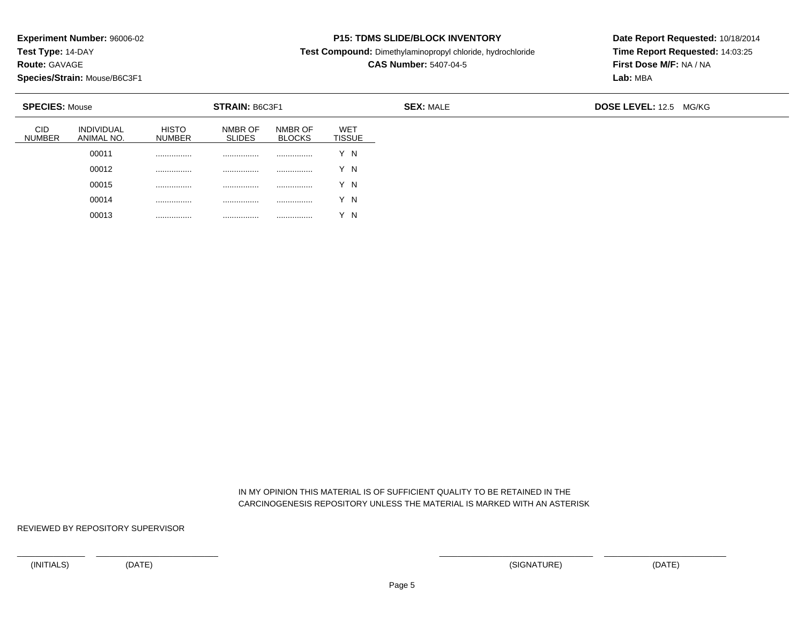**Test Type:** 14-DAY

**Route:** GAVAGE

**Species/Strain:** Mouse/B6C3F1

### **P15: TDMS SLIDE/BLOCK INVENTORY**

**Test Compound:** Dimethylaminopropyl chloride, hydrochloride

# **CAS Number:** 5407-04-5

**Date Report Requested:** 10/18/2014**Time Report Requested:** 14:03:25**First Dose M/F:** NA / NA**Lab:** MBA

|                             | <b>SPECIES: Mouse</b>           |                               | STRAIN: B6C3F1           |                          |                             | <b>SEX: MALE</b> | <b>DOSE LEVEL: 12.5 MG/KG</b> |
|-----------------------------|---------------------------------|-------------------------------|--------------------------|--------------------------|-----------------------------|------------------|-------------------------------|
| <b>CID</b><br><b>NUMBER</b> | <b>INDIVIDUAL</b><br>ANIMAL NO. | <b>HISTO</b><br><b>NUMBER</b> | NMBR OF<br><b>SLIDES</b> | NMBR OF<br><b>BLOCKS</b> | <b>WET</b><br><b>TISSUE</b> |                  |                               |
|                             | 00011                           | .                             | .                        | .                        | Y N                         |                  |                               |
|                             | 00012                           | .                             |                          |                          | Y N                         |                  |                               |
|                             | 00015                           |                               |                          |                          | Y N                         |                  |                               |
|                             | 00014                           | .                             | .                        |                          | Y N                         |                  |                               |
|                             | 00013                           |                               | .                        |                          | $\sqrt{}$<br>' N            |                  |                               |

 IN MY OPINION THIS MATERIAL IS OF SUFFICIENT QUALITY TO BE RETAINED IN THECARCINOGENESIS REPOSITORY UNLESS THE MATERIAL IS MARKED WITH AN ASTERISK

REVIEWED BY REPOSITORY SUPERVISOR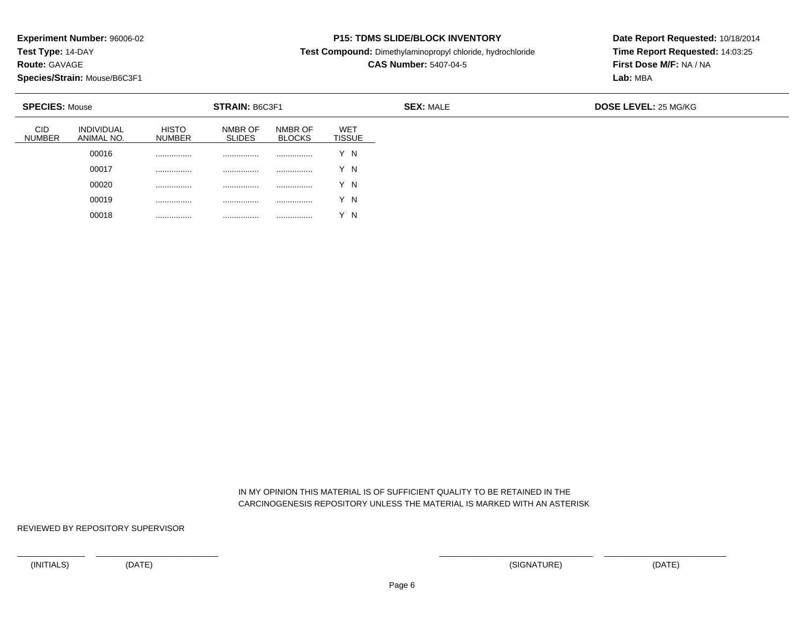**Test Type:** 14-DAY

**Route:** GAVAGE

**Species/Strain:** Mouse/B6C3F1

### **P15: TDMS SLIDE/BLOCK INVENTORY**

**Test Compound:** Dimethylaminopropyl chloride, hydrochloride

# **CAS Number:** 5407-04-5

**Date Report Requested:** 10/18/2014**Time Report Requested:** 14:03:25**First Dose M/F:** NA / NA**Lab:** MBA

| <b>SPECIES: Mouse</b>       |                                 |                               | STRAIN: B6C3F1           |                          |                             | <b>SEX: MALE</b> | DOSE LEVEL: 25 MG/KG |
|-----------------------------|---------------------------------|-------------------------------|--------------------------|--------------------------|-----------------------------|------------------|----------------------|
| <b>CID</b><br><b>NUMBER</b> | <b>INDIVIDUAL</b><br>ANIMAL NO. | <b>HISTO</b><br><b>NUMBER</b> | NMBR OF<br><b>SLIDES</b> | NMBR OF<br><b>BLOCKS</b> | <b>WET</b><br><b>TISSUE</b> |                  |                      |
|                             | 00016                           | .                             |                          | .                        | 'N                          |                  |                      |
|                             | 00017                           | .                             |                          | .                        | Y N                         |                  |                      |
|                             | 00020                           | .                             |                          | .                        | Y N                         |                  |                      |
|                             | 00019                           | .                             | .                        | .                        | Y N                         |                  |                      |
|                             | 00018                           | .                             | .                        | .                        | N                           |                  |                      |

 IN MY OPINION THIS MATERIAL IS OF SUFFICIENT QUALITY TO BE RETAINED IN THECARCINOGENESIS REPOSITORY UNLESS THE MATERIAL IS MARKED WITH AN ASTERISK

REVIEWED BY REPOSITORY SUPERVISOR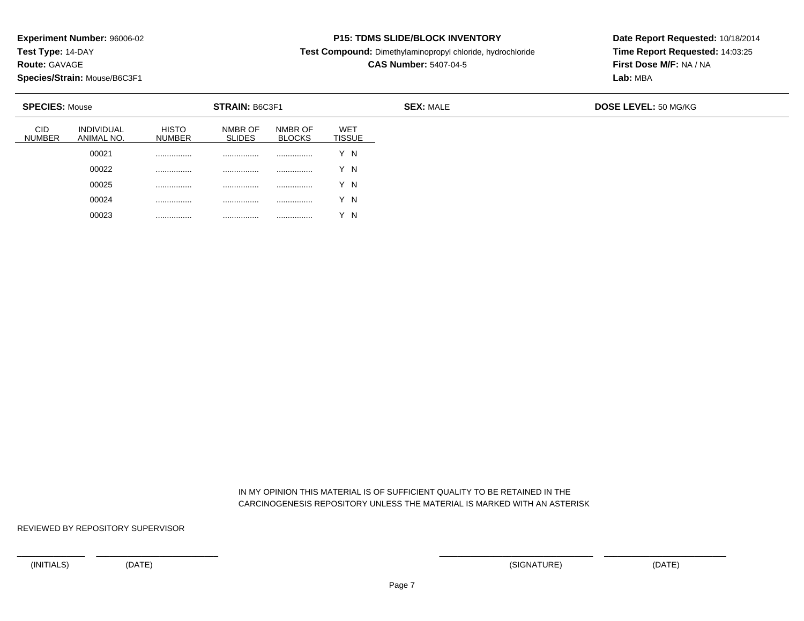**Test Type:** 14-DAY

**Route:** GAVAGE

**Species/Strain:** Mouse/B6C3F1

### **P15: TDMS SLIDE/BLOCK INVENTORY**

**Test Compound:** Dimethylaminopropyl chloride, hydrochloride

**CAS Number:** 5407-04-5

**Date Report Requested:** 10/18/2014**Time Report Requested:** 14:03:25**First Dose M/F:** NA / NA**Lab:** MBA

| <b>SPECIES: Mouse</b>       |                                 |                               | STRAIN: B6C3F1           |                          |                             | <b>SEX: MALE</b> | DOSE LEVEL: 50 MG/KG |
|-----------------------------|---------------------------------|-------------------------------|--------------------------|--------------------------|-----------------------------|------------------|----------------------|
| <b>CID</b><br><b>NUMBER</b> | <b>INDIVIDUAL</b><br>ANIMAL NO. | <b>HISTO</b><br><b>NUMBER</b> | NMBR OF<br><b>SLIDES</b> | NMBR OF<br><b>BLOCKS</b> | <b>WET</b><br><b>TISSUE</b> |                  |                      |
|                             | 00021                           | .                             | .                        | .                        | ΄Ν                          |                  |                      |
|                             | 00022                           | .                             | .                        | .                        | Y N                         |                  |                      |
|                             | 00025                           | .                             | .                        | .                        | Y N                         |                  |                      |
|                             | 00024                           | .                             | .                        | .                        | Y N                         |                  |                      |
|                             | 00023                           | .                             | .                        |                          | N                           |                  |                      |

 IN MY OPINION THIS MATERIAL IS OF SUFFICIENT QUALITY TO BE RETAINED IN THECARCINOGENESIS REPOSITORY UNLESS THE MATERIAL IS MARKED WITH AN ASTERISK

REVIEWED BY REPOSITORY SUPERVISOR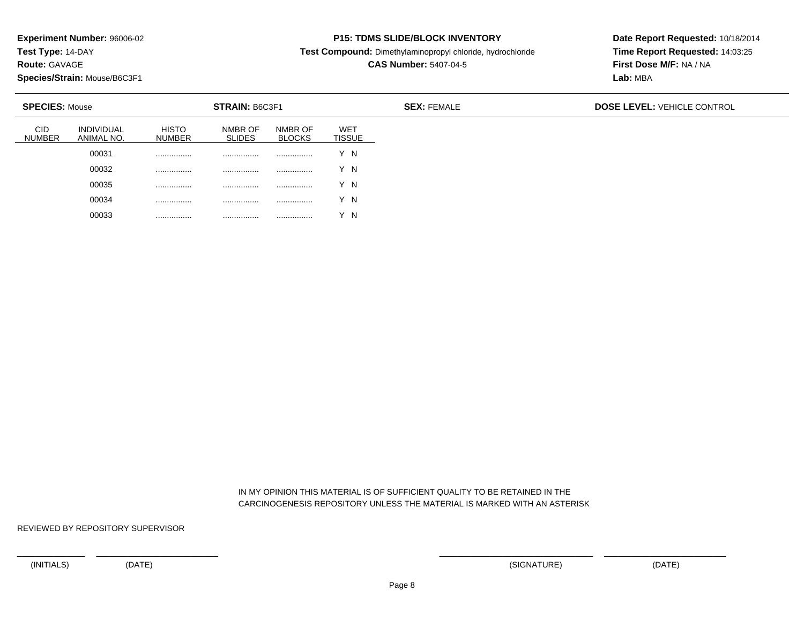**Test Type:** 14-DAY

**Route:** GAVAGE

**Species/Strain:** Mouse/B6C3F1

### **P15: TDMS SLIDE/BLOCK INVENTORY**

**Test Compound:** Dimethylaminopropyl chloride, hydrochloride

**CAS Number:** 5407-04-5

**Date Report Requested:** 10/18/2014**Time Report Requested:** 14:03:25**First Dose M/F:** NA / NA**Lab:** MBA

| <b>SPECIES: Mouse</b>       |                                 |                               | <b>STRAIN: B6C3F1</b>    |                          |                             | <b>SEX: FEMALE</b> | <b>DOSE LEVEL: VEHICLE CONTROL</b> |
|-----------------------------|---------------------------------|-------------------------------|--------------------------|--------------------------|-----------------------------|--------------------|------------------------------------|
| <b>CID</b><br><b>NUMBER</b> | <b>INDIVIDUAL</b><br>ANIMAL NO. | <b>HISTO</b><br><b>NUMBER</b> | NMBR OF<br><b>SLIDES</b> | NMBR OF<br><b>BLOCKS</b> | <b>WET</b><br><b>TISSUE</b> |                    |                                    |
|                             | 00031                           |                               | .                        |                          | Y N                         |                    |                                    |
|                             | 00032                           |                               | .                        |                          | Y N                         |                    |                                    |
|                             | 00035                           |                               | .                        |                          | Y N                         |                    |                                    |
|                             | 00034                           | .                             | .                        |                          | Y N                         |                    |                                    |
|                             | 00033                           |                               | .                        |                          | $\sqrt{}$<br>- N            |                    |                                    |

 IN MY OPINION THIS MATERIAL IS OF SUFFICIENT QUALITY TO BE RETAINED IN THECARCINOGENESIS REPOSITORY UNLESS THE MATERIAL IS MARKED WITH AN ASTERISK

REVIEWED BY REPOSITORY SUPERVISOR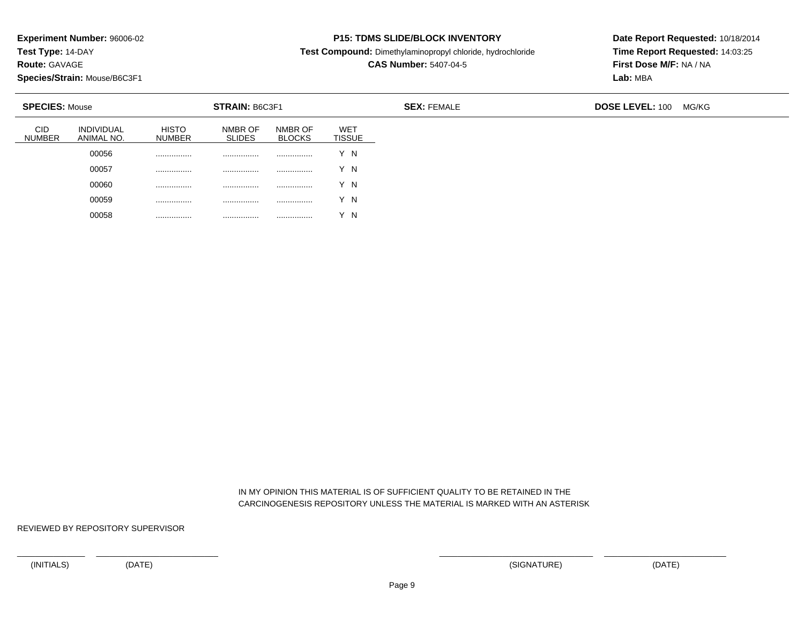**Test Type:** 14-DAY

**Route:** GAVAGE

**Species/Strain:** Mouse/B6C3F1

### **P15: TDMS SLIDE/BLOCK INVENTORY**

**Test Compound:** Dimethylaminopropyl chloride, hydrochloride

# **CAS Number:** 5407-04-5

**Date Report Requested:** 10/18/2014**Time Report Requested:** 14:03:25**First Dose M/F:** NA / NA**Lab:** MBA

|                             | <b>SPECIES: Mouse</b><br><b>STRAIN: B6C3F1</b> |                               |                          |                          | <b>SEX: FEMALE</b>          | <b>DOSE LEVEL: 100</b> | MG/KG |  |
|-----------------------------|------------------------------------------------|-------------------------------|--------------------------|--------------------------|-----------------------------|------------------------|-------|--|
| <b>CID</b><br><b>NUMBER</b> | <b>INDIVIDUAL</b><br>ANIMAL NO.                | <b>HISTO</b><br><b>NUMBER</b> | NMBR OF<br><b>SLIDES</b> | NMBR OF<br><b>BLOCKS</b> | <b>WET</b><br><b>TISSUE</b> |                        |       |  |
|                             | 00056                                          | .                             |                          |                          | Y N                         |                        |       |  |
|                             | 00057                                          |                               |                          |                          | Y N                         |                        |       |  |
|                             | 00060                                          |                               |                          |                          | Y N                         |                        |       |  |
|                             | 00059                                          |                               | .                        |                          | Y N                         |                        |       |  |
|                             | 00058                                          |                               |                          |                          | $\sqrt{}$<br>$\overline{N}$ |                        |       |  |

 IN MY OPINION THIS MATERIAL IS OF SUFFICIENT QUALITY TO BE RETAINED IN THECARCINOGENESIS REPOSITORY UNLESS THE MATERIAL IS MARKED WITH AN ASTERISK

REVIEWED BY REPOSITORY SUPERVISOR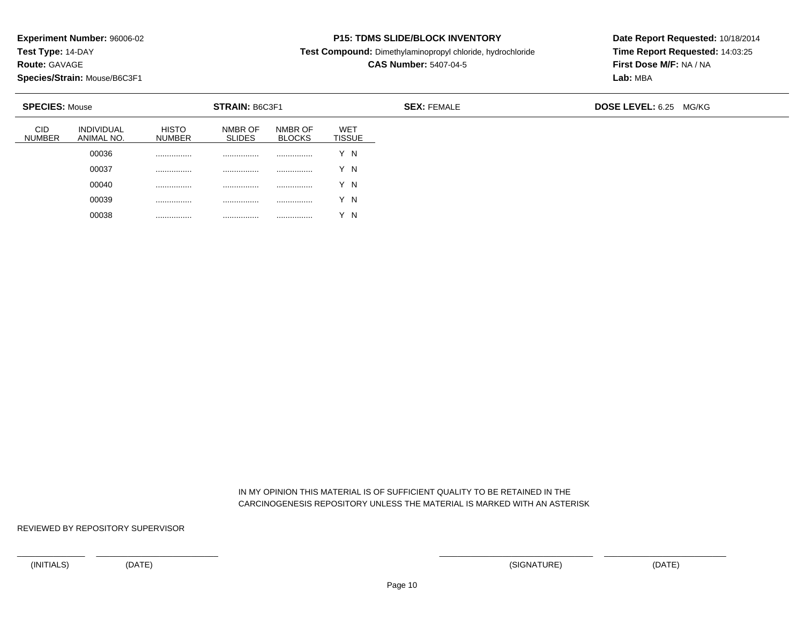**Test Type:** 14-DAY

**Route:** GAVAGE

**Species/Strain:** Mouse/B6C3F1

### **P15: TDMS SLIDE/BLOCK INVENTORY**

**Test Compound:** Dimethylaminopropyl chloride, hydrochloride

# **CAS Number:** 5407-04-5

**Date Report Requested:** 10/18/2014**Time Report Requested:** 14:03:25**First Dose M/F:** NA / NA**Lab:** MBA

|                             | <b>SPECIES: Mouse</b><br><b>STRAIN: B6C3F1</b> |                               |                          |                          |                             | <b>SEX: FEMALE</b> | <b>DOSE LEVEL: 6.25 MG/KG</b> |
|-----------------------------|------------------------------------------------|-------------------------------|--------------------------|--------------------------|-----------------------------|--------------------|-------------------------------|
| <b>CID</b><br><b>NUMBER</b> | <b>INDIVIDUAL</b><br>ANIMAL NO.                | <b>HISTO</b><br><b>NUMBER</b> | NMBR OF<br><b>SLIDES</b> | NMBR OF<br><b>BLOCKS</b> | <b>WET</b><br><b>TISSUE</b> |                    |                               |
|                             | 00036                                          | .                             | .                        | .                        | Y N                         |                    |                               |
|                             | 00037                                          | .                             | .                        |                          | Y N                         |                    |                               |
|                             | 00040                                          |                               |                          |                          | Y N                         |                    |                               |
|                             | 00039                                          | .                             | .                        |                          | Y N                         |                    |                               |
|                             | 00038                                          |                               | .                        |                          | $\sqrt{ }$<br>$^{\prime}$ N |                    |                               |

 IN MY OPINION THIS MATERIAL IS OF SUFFICIENT QUALITY TO BE RETAINED IN THECARCINOGENESIS REPOSITORY UNLESS THE MATERIAL IS MARKED WITH AN ASTERISK

REVIEWED BY REPOSITORY SUPERVISOR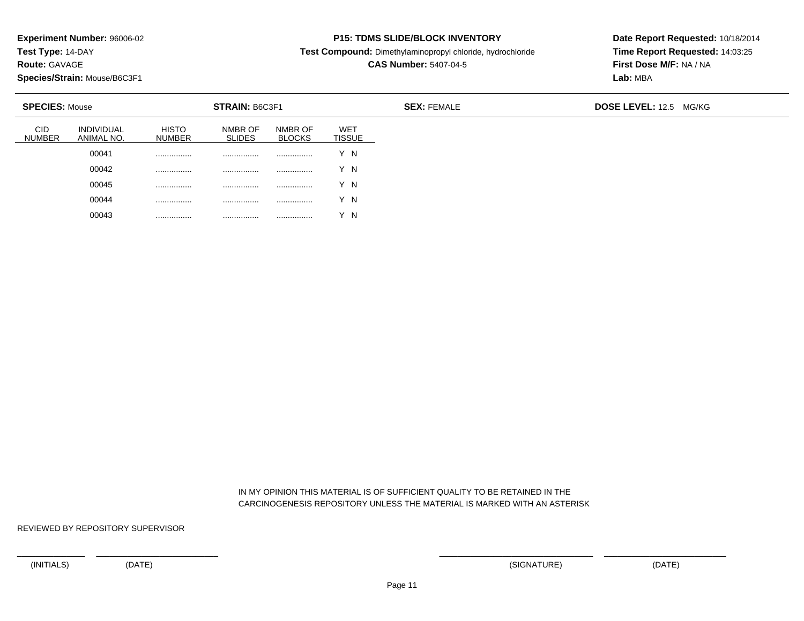**Test Type:** 14-DAY

**Route:** GAVAGE

**Species/Strain:** Mouse/B6C3F1

### **P15: TDMS SLIDE/BLOCK INVENTORY**

**Test Compound:** Dimethylaminopropyl chloride, hydrochloride

# **CAS Number:** 5407-04-5

**Date Report Requested:** 10/18/2014**Time Report Requested:** 14:03:25**First Dose M/F:** NA / NA**Lab:** MBA

|                             | <b>SPECIES: Mouse</b><br><b>STRAIN: B6C3F1</b> |                               |                          |                          |                             | <b>SEX: FEMALE</b> | <b>DOSE LEVEL: 12.5 MG/KG</b> |
|-----------------------------|------------------------------------------------|-------------------------------|--------------------------|--------------------------|-----------------------------|--------------------|-------------------------------|
| <b>CID</b><br><b>NUMBER</b> | <b>INDIVIDUAL</b><br>ANIMAL NO.                | <b>HISTO</b><br><b>NUMBER</b> | NMBR OF<br><b>SLIDES</b> | NMBR OF<br><b>BLOCKS</b> | <b>WET</b><br><b>TISSUE</b> |                    |                               |
|                             | 00041                                          | .                             | .                        | .                        | N                           |                    |                               |
|                             | 00042                                          | .                             | .                        |                          | Y N                         |                    |                               |
|                             | 00045                                          |                               |                          |                          | Y N                         |                    |                               |
|                             | 00044                                          | .                             | .                        |                          | Y N                         |                    |                               |
|                             | 00043                                          |                               |                          |                          | - N                         |                    |                               |

 IN MY OPINION THIS MATERIAL IS OF SUFFICIENT QUALITY TO BE RETAINED IN THECARCINOGENESIS REPOSITORY UNLESS THE MATERIAL IS MARKED WITH AN ASTERISK

REVIEWED BY REPOSITORY SUPERVISOR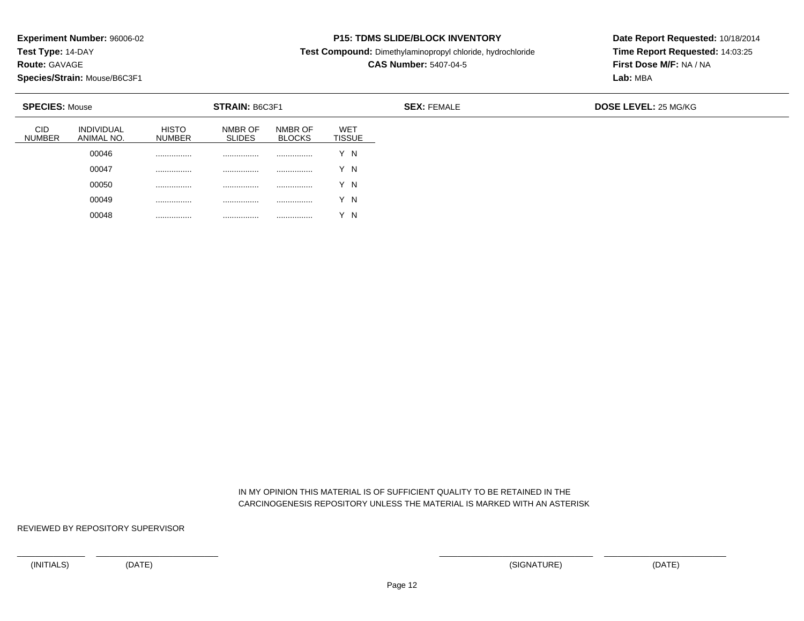**Test Type:** 14-DAY

**Route:** GAVAGE

**Species/Strain:** Mouse/B6C3F1

### **P15: TDMS SLIDE/BLOCK INVENTORY**

**Test Compound:** Dimethylaminopropyl chloride, hydrochloride

# **CAS Number:** 5407-04-5

**Date Report Requested:** 10/18/2014**Time Report Requested:** 14:03:25**First Dose M/F:** NA / NA**Lab:** MBA

| <b>SPECIES: Mouse</b> |                                 | <b>STRAIN: B6C3F1</b>         |                          |                          |                             | <b>SEX: FEMALE</b> | <b>DOSE LEVEL: 25 MG/KG</b> |
|-----------------------|---------------------------------|-------------------------------|--------------------------|--------------------------|-----------------------------|--------------------|-----------------------------|
| CID<br><b>NUMBER</b>  | <b>INDIVIDUAL</b><br>ANIMAL NO. | <b>HISTO</b><br><b>NUMBER</b> | NMBR OF<br><b>SLIDES</b> | NMBR OF<br><b>BLOCKS</b> | <b>WET</b><br><b>TISSUE</b> |                    |                             |
|                       | 00046                           | .                             | .                        | .                        | 'N                          |                    |                             |
|                       | 00047                           | .                             |                          | .                        | Y N                         |                    |                             |
|                       | 00050                           | .                             |                          | .                        | Y N                         |                    |                             |
|                       | 00049                           | .                             | .                        | .                        | Y N                         |                    |                             |
|                       | 00048                           | .                             | .                        | .                        | N                           |                    |                             |

 IN MY OPINION THIS MATERIAL IS OF SUFFICIENT QUALITY TO BE RETAINED IN THECARCINOGENESIS REPOSITORY UNLESS THE MATERIAL IS MARKED WITH AN ASTERISK

REVIEWED BY REPOSITORY SUPERVISOR